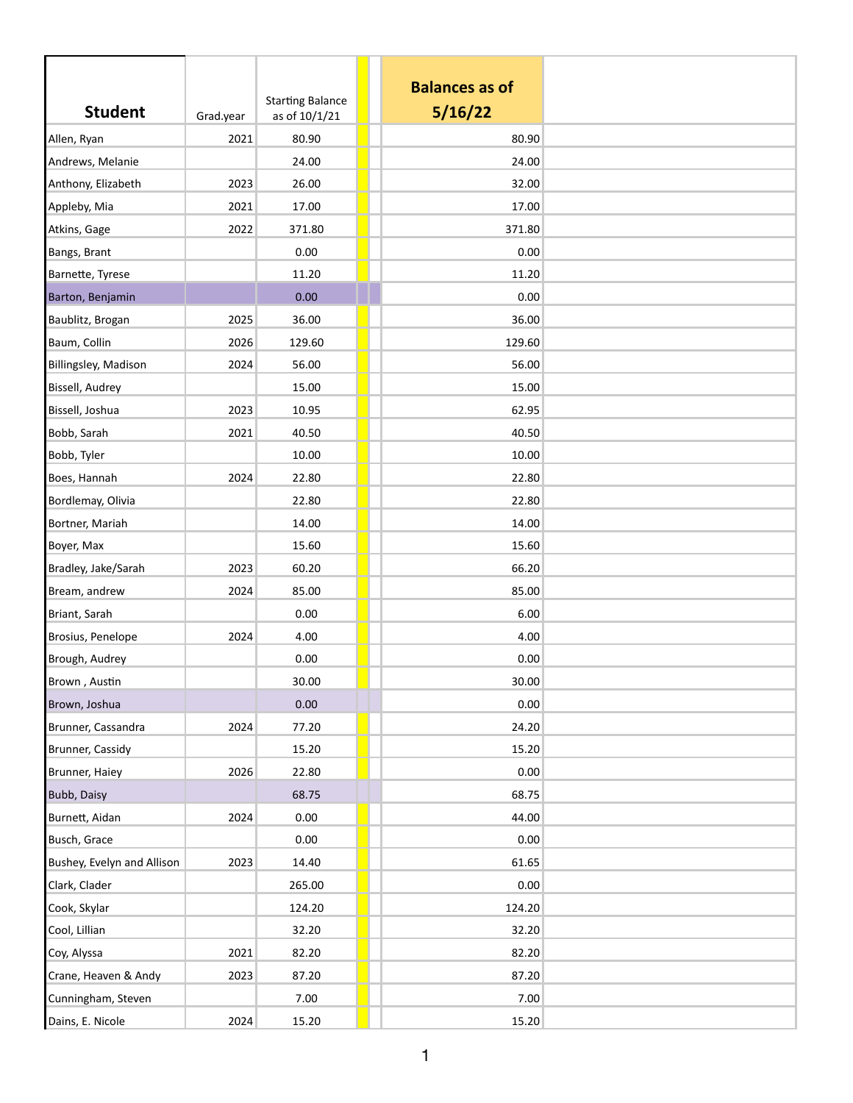| <b>Student</b>             | Grad.year | <b>Starting Balance</b><br>as of 10/1/21 | <b>Balances as of</b><br>5/16/22 |  |
|----------------------------|-----------|------------------------------------------|----------------------------------|--|
| Allen, Ryan                | 2021      | 80.90                                    | 80.90                            |  |
| Andrews, Melanie           |           | 24.00                                    | 24.00                            |  |
| Anthony, Elizabeth         | 2023      | 26.00                                    | 32.00                            |  |
| Appleby, Mia               | 2021      | 17.00                                    | 17.00                            |  |
| Atkins, Gage               | 2022      | 371.80                                   | 371.80                           |  |
| Bangs, Brant               |           | 0.00                                     | 0.00                             |  |
| Barnette, Tyrese           |           | 11.20                                    | 11.20                            |  |
| Barton, Benjamin           |           | 0.00                                     | 0.00                             |  |
| Baublitz, Brogan           | 2025      | 36.00                                    | 36.00                            |  |
| Baum, Collin               | 2026      | 129.60                                   | 129.60                           |  |
| Billingsley, Madison       | 2024      | 56.00                                    | 56.00                            |  |
| Bissell, Audrey            |           | 15.00                                    | 15.00                            |  |
| Bissell, Joshua            | 2023      | 10.95                                    | 62.95                            |  |
| Bobb, Sarah                | 2021      | 40.50                                    | 40.50                            |  |
| Bobb, Tyler                |           | 10.00                                    | 10.00                            |  |
| Boes, Hannah               | 2024      | 22.80                                    | 22.80                            |  |
| Bordlemay, Olivia          |           | 22.80                                    | 22.80                            |  |
| Bortner, Mariah            |           | 14.00                                    | 14.00                            |  |
| Boyer, Max                 |           | 15.60                                    | 15.60                            |  |
| Bradley, Jake/Sarah        | 2023      | 60.20                                    | 66.20                            |  |
| Bream, andrew              | 2024      | 85.00                                    | 85.00                            |  |
| Briant, Sarah              |           | 0.00                                     | 6.00                             |  |
| Brosius, Penelope          | 2024      | 4.00                                     | 4.00                             |  |
| Brough, Audrey             |           | 0.00                                     | 0.00                             |  |
| Brown, Austin              |           | 30.00                                    | 30.00                            |  |
| Brown, Joshua              |           | 0.00                                     | 0.00                             |  |
| Brunner, Cassandra         | 2024      | 77.20                                    | 24.20                            |  |
| Brunner, Cassidy           |           | 15.20                                    | 15.20                            |  |
| Brunner, Haiey             | 2026      | 22.80                                    | 0.00                             |  |
| Bubb, Daisy                |           | 68.75                                    | 68.75                            |  |
| Burnett, Aidan             | 2024      | 0.00                                     | 44.00                            |  |
| Busch, Grace               |           | 0.00                                     | 0.00                             |  |
| Bushey, Evelyn and Allison | 2023      | 14.40                                    | 61.65                            |  |
| Clark, Clader              |           | 265.00                                   | 0.00                             |  |
| Cook, Skylar               |           | 124.20                                   | 124.20                           |  |
| Cool, Lillian              |           | 32.20                                    | 32.20                            |  |
| Coy, Alyssa                | 2021      | 82.20                                    | 82.20                            |  |
| Crane, Heaven & Andy       | 2023      | 87.20                                    | 87.20                            |  |
| Cunningham, Steven         |           | 7.00                                     | 7.00                             |  |
| Dains, E. Nicole           | 2024      | 15.20                                    | 15.20                            |  |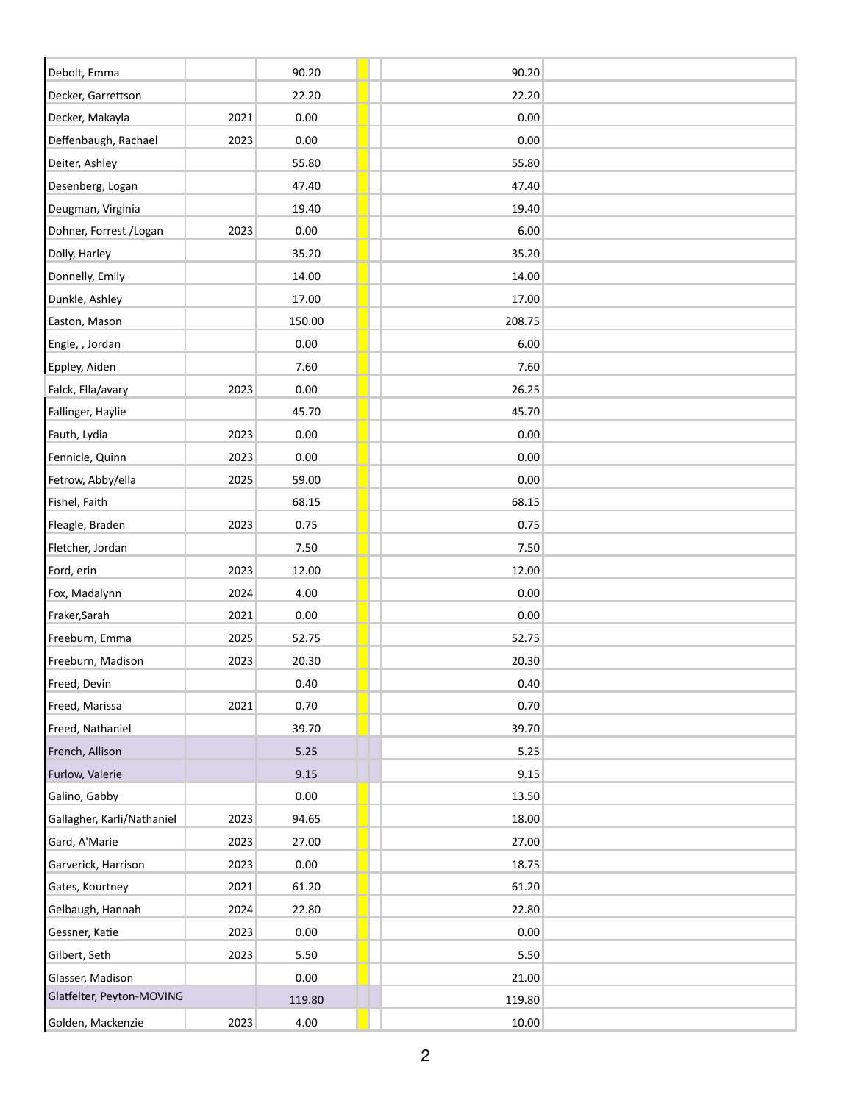| Debolt, Emma               |      | 90.20  | 90.20  |
|----------------------------|------|--------|--------|
| Decker, Garrettson         |      | 22.20  | 22.20  |
| Decker, Makayla            | 2021 | 0.00   | 0.00   |
| Deffenbaugh, Rachael       | 2023 | 0.00   | 0.00   |
| Deiter, Ashley             |      | 55.80  | 55.80  |
| Desenberg, Logan           |      | 47.40  | 47.40  |
| Deugman, Virginia          |      | 19.40  | 19.40  |
| Dohner, Forrest / Logan    | 2023 | 0.00   | 6.00   |
| Dolly, Harley              |      | 35.20  | 35.20  |
| Donnelly, Emily            |      | 14.00  | 14.00  |
| Dunkle, Ashley             |      | 17.00  | 17.00  |
| Easton, Mason              |      | 150.00 | 208.75 |
| Engle, , Jordan            |      | 0.00   | 6.00   |
| Eppley, Aiden              |      | 7.60   | 7.60   |
| Falck, Ella/avary          | 2023 | 0.00   | 26.25  |
| Fallinger, Haylie          |      | 45.70  | 45.70  |
| Fauth, Lydia               | 2023 | 0.00   | 0.00   |
| Fennicle, Quinn            | 2023 | 0.00   | 0.00   |
| Fetrow, Abby/ella          | 2025 | 59.00  | 0.00   |
| Fishel, Faith              |      | 68.15  | 68.15  |
| Fleagle, Braden            | 2023 | 0.75   | 0.75   |
| Fletcher, Jordan           |      | 7.50   | 7.50   |
| Ford, erin                 | 2023 | 12.00  | 12.00  |
| Fox, Madalynn              | 2024 | 4.00   | 0.00   |
| Fraker, Sarah              | 2021 | 0.00   | 0.00   |
| Freeburn, Emma             | 2025 | 52.75  | 52.75  |
| Freeburn, Madison          | 2023 | 20.30  | 20.30  |
| Freed, Devin               |      | 0.40   | 0.40   |
| Freed, Marissa             | 2021 | 0.70   | 0.70   |
| Freed, Nathaniel           |      | 39.70  | 39.70  |
| French, Allison            |      | 5.25   | 5.25   |
| Furlow, Valerie            |      | 9.15   | 9.15   |
| Galino, Gabby              |      | 0.00   | 13.50  |
| Gallagher, Karli/Nathaniel | 2023 | 94.65  | 18.00  |
| Gard, A'Marie              | 2023 | 27.00  | 27.00  |
| Garverick, Harrison        | 2023 | 0.00   | 18.75  |
| Gates, Kourtney            | 2021 | 61.20  | 61.20  |
| Gelbaugh, Hannah           | 2024 | 22.80  | 22.80  |
| Gessner, Katie             | 2023 | 0.00   | 0.00   |
| Gilbert, Seth              | 2023 | 5.50   | 5.50   |
| Glasser, Madison           |      | 0.00   | 21.00  |
| Glatfelter, Peyton-MOVING  |      | 119.80 | 119.80 |
| Golden, Mackenzie          | 2023 | 4.00   | 10.00  |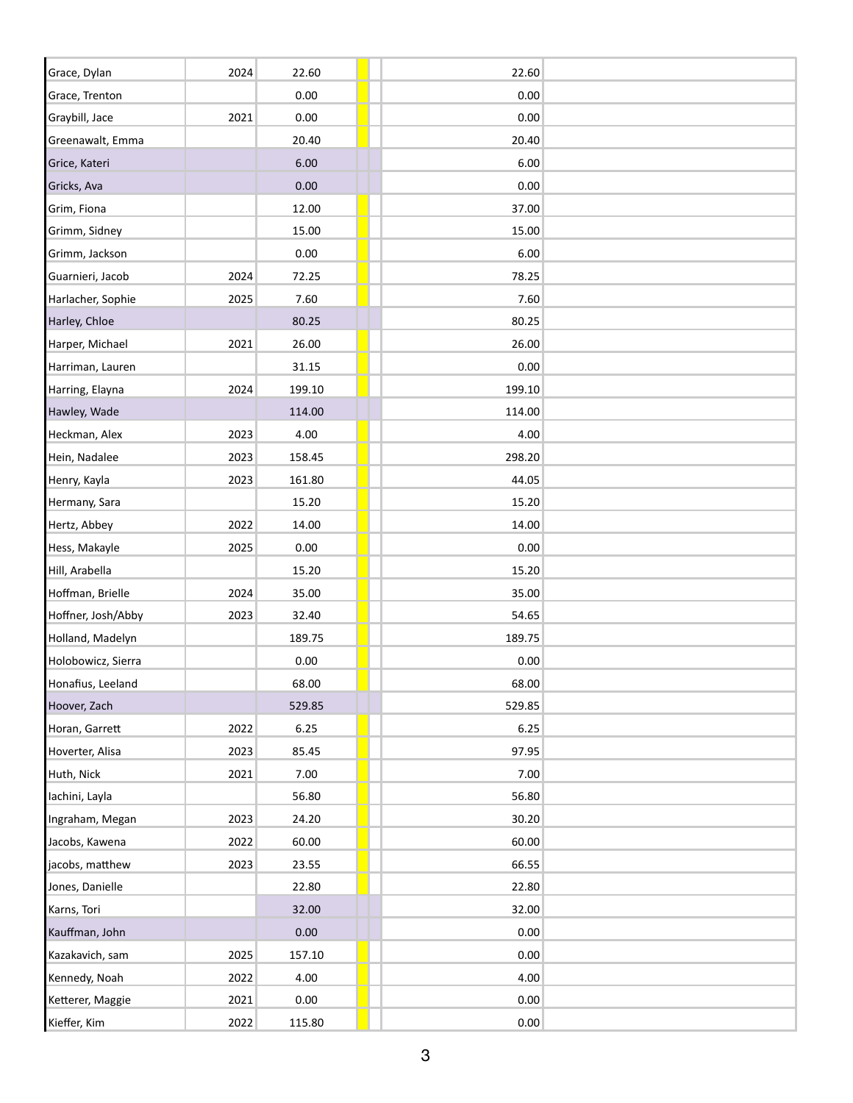| Grace, Dylan       | 2024 | 22.60    | 22.60  |  |
|--------------------|------|----------|--------|--|
| Grace, Trenton     |      | 0.00     | 0.00   |  |
| Graybill, Jace     | 2021 | 0.00     | 0.00   |  |
| Greenawalt, Emma   |      | 20.40    | 20.40  |  |
| Grice, Kateri      |      | 6.00     | 6.00   |  |
| Gricks, Ava        |      | $0.00\,$ | 0.00   |  |
| Grim, Fiona        |      | 12.00    | 37.00  |  |
| Grimm, Sidney      |      | 15.00    | 15.00  |  |
| Grimm, Jackson     |      | 0.00     | 6.00   |  |
| Guarnieri, Jacob   | 2024 | 72.25    | 78.25  |  |
| Harlacher, Sophie  | 2025 | 7.60     | 7.60   |  |
| Harley, Chloe      |      | 80.25    | 80.25  |  |
| Harper, Michael    | 2021 | 26.00    | 26.00  |  |
| Harriman, Lauren   |      | 31.15    | 0.00   |  |
| Harring, Elayna    | 2024 | 199.10   | 199.10 |  |
| Hawley, Wade       |      | 114.00   | 114.00 |  |
| Heckman, Alex      | 2023 | 4.00     | 4.00   |  |
| Hein, Nadalee      | 2023 | 158.45   | 298.20 |  |
| Henry, Kayla       | 2023 | 161.80   | 44.05  |  |
| Hermany, Sara      |      | 15.20    | 15.20  |  |
| Hertz, Abbey       | 2022 | 14.00    | 14.00  |  |
| Hess, Makayle      | 2025 | 0.00     | 0.00   |  |
| Hill, Arabella     |      | 15.20    | 15.20  |  |
| Hoffman, Brielle   | 2024 | 35.00    | 35.00  |  |
| Hoffner, Josh/Abby | 2023 | 32.40    | 54.65  |  |
| Holland, Madelyn   |      | 189.75   | 189.75 |  |
| Holobowicz, Sierra |      | 0.00     | 0.00   |  |
| Honafius, Leeland  |      | 68.00    | 68.00  |  |
| Hoover, Zach       |      | 529.85   | 529.85 |  |
| Horan, Garrett     | 2022 | 6.25     | 6.25   |  |
| Hoverter, Alisa    | 2023 | 85.45    | 97.95  |  |
| Huth, Nick         | 2021 | 7.00     | 7.00   |  |
| Iachini, Layla     |      | 56.80    | 56.80  |  |
| Ingraham, Megan    | 2023 | 24.20    | 30.20  |  |
| Jacobs, Kawena     | 2022 | 60.00    | 60.00  |  |
| jacobs, matthew    | 2023 | 23.55    | 66.55  |  |
| Jones, Danielle    |      | 22.80    | 22.80  |  |
| Karns, Tori        |      | 32.00    | 32.00  |  |
| Kauffman, John     |      | 0.00     | 0.00   |  |
| Kazakavich, sam    | 2025 | 157.10   | 0.00   |  |
| Kennedy, Noah      | 2022 | 4.00     | 4.00   |  |
| Ketterer, Maggie   | 2021 | 0.00     | 0.00   |  |
| Kieffer, Kim       | 2022 | 115.80   | 0.00   |  |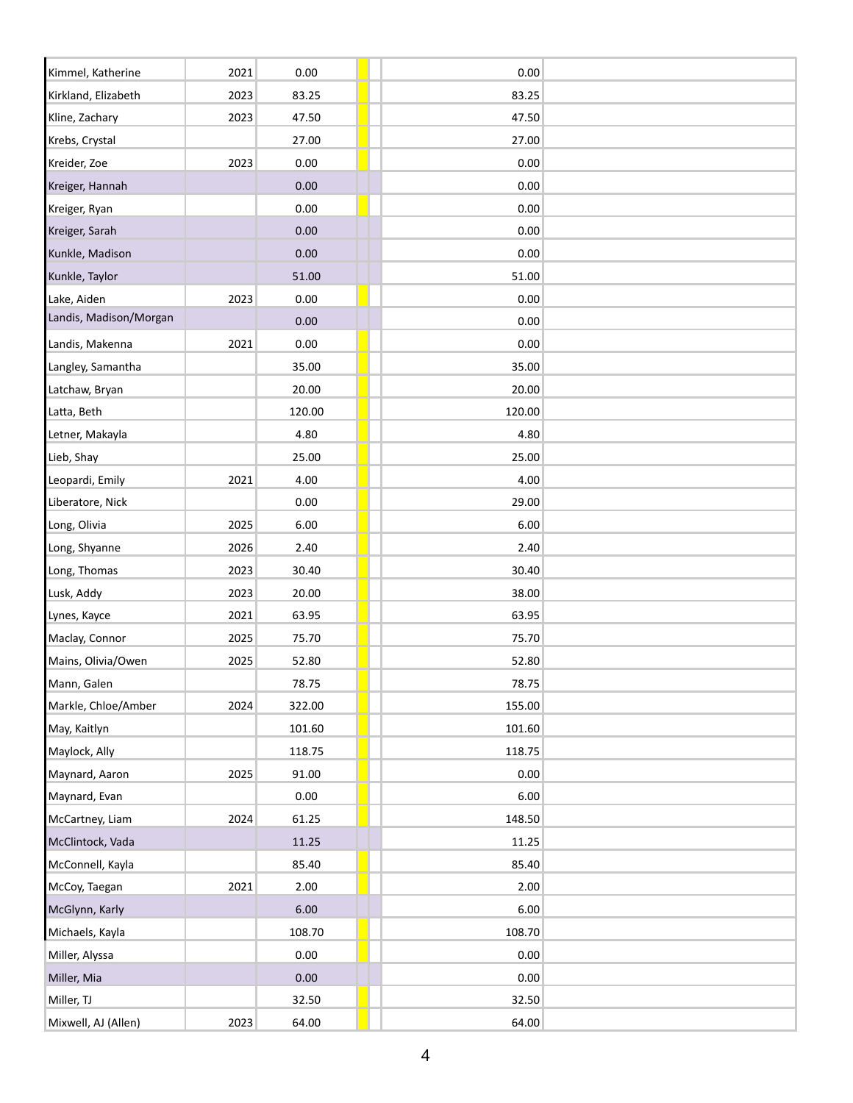| Kimmel, Katherine      | 2021 | 0.00   | 0.00   |
|------------------------|------|--------|--------|
| Kirkland, Elizabeth    | 2023 | 83.25  | 83.25  |
| Kline, Zachary         | 2023 | 47.50  | 47.50  |
| Krebs, Crystal         |      | 27.00  | 27.00  |
| Kreider, Zoe           | 2023 | 0.00   | 0.00   |
| Kreiger, Hannah        |      | 0.00   | 0.00   |
| Kreiger, Ryan          |      | 0.00   | 0.00   |
| Kreiger, Sarah         |      | 0.00   | 0.00   |
| Kunkle, Madison        |      | 0.00   | 0.00   |
| Kunkle, Taylor         |      | 51.00  | 51.00  |
| Lake, Aiden            | 2023 | 0.00   | 0.00   |
| Landis, Madison/Morgan |      | 0.00   | 0.00   |
| Landis, Makenna        | 2021 | 0.00   | 0.00   |
| Langley, Samantha      |      | 35.00  | 35.00  |
| Latchaw, Bryan         |      | 20.00  | 20.00  |
| Latta, Beth            |      | 120.00 | 120.00 |
| Letner, Makayla        |      | 4.80   | 4.80   |
| Lieb, Shay             |      | 25.00  | 25.00  |
| Leopardi, Emily        | 2021 | 4.00   | 4.00   |
| Liberatore, Nick       |      | 0.00   | 29.00  |
| Long, Olivia           | 2025 | 6.00   | 6.00   |
| Long, Shyanne          | 2026 | 2.40   | 2.40   |
| Long, Thomas           | 2023 | 30.40  | 30.40  |
| Lusk, Addy             | 2023 | 20.00  | 38.00  |
| Lynes, Kayce           | 2021 | 63.95  | 63.95  |
| Maclay, Connor         | 2025 | 75.70  | 75.70  |
| Mains, Olivia/Owen     | 2025 | 52.80  | 52.80  |
| Mann, Galen            |      | 78.75  | 78.75  |
| Markle, Chloe/Amber    | 2024 | 322.00 | 155.00 |
| May, Kaitlyn           |      | 101.60 | 101.60 |
| Maylock, Ally          |      | 118.75 | 118.75 |
| Maynard, Aaron         | 2025 | 91.00  | 0.00   |
| Maynard, Evan          |      | 0.00   | 6.00   |
| McCartney, Liam        | 2024 | 61.25  | 148.50 |
| McClintock, Vada       |      | 11.25  | 11.25  |
| McConnell, Kayla       |      | 85.40  | 85.40  |
| McCoy, Taegan          | 2021 | 2.00   | 2.00   |
| McGlynn, Karly         |      | 6.00   | 6.00   |
| Michaels, Kayla        |      | 108.70 | 108.70 |
| Miller, Alyssa         |      | 0.00   | 0.00   |
| Miller, Mia            |      | 0.00   | 0.00   |
| Miller, TJ             |      | 32.50  | 32.50  |
| Mixwell, AJ (Allen)    | 2023 | 64.00  | 64.00  |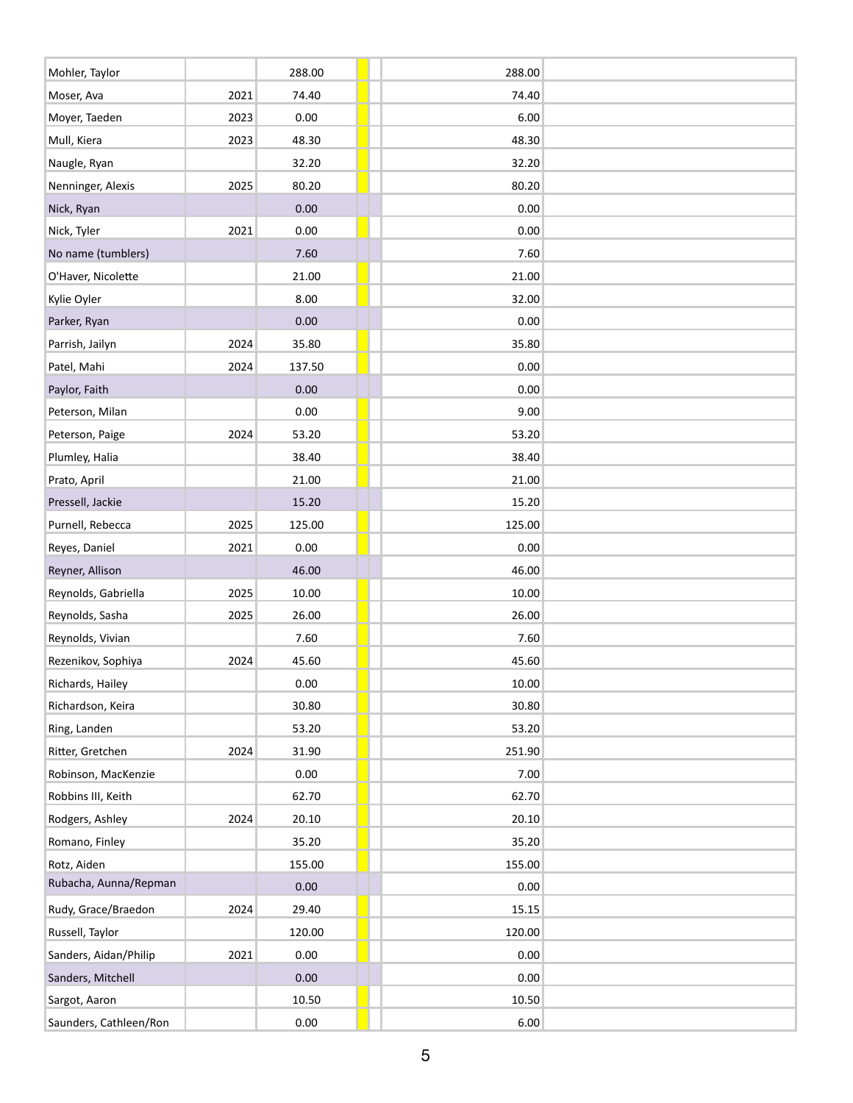| Mohler, Taylor         |      | 288.00   | 288.00 |  |
|------------------------|------|----------|--------|--|
| Moser, Ava             | 2021 | 74.40    | 74.40  |  |
| Moyer, Taeden          | 2023 | 0.00     | 6.00   |  |
| Mull, Kiera            | 2023 | 48.30    | 48.30  |  |
| Naugle, Ryan           |      | 32.20    | 32.20  |  |
| Nenninger, Alexis      | 2025 | 80.20    | 80.20  |  |
| Nick, Ryan             |      | 0.00     | 0.00   |  |
| Nick, Tyler            | 2021 | 0.00     | 0.00   |  |
| No name (tumblers)     |      | 7.60     | 7.60   |  |
| O'Haver, Nicolette     |      | 21.00    | 21.00  |  |
| Kylie Oyler            |      | 8.00     | 32.00  |  |
| Parker, Ryan           |      | 0.00     | 0.00   |  |
| Parrish, Jailyn        | 2024 | 35.80    | 35.80  |  |
| Patel, Mahi            | 2024 | 137.50   | 0.00   |  |
| Paylor, Faith          |      | 0.00     | 0.00   |  |
| Peterson, Milan        |      | 0.00     | 9.00   |  |
| Peterson, Paige        | 2024 | 53.20    | 53.20  |  |
| Plumley, Halia         |      | 38.40    | 38.40  |  |
| Prato, April           |      | 21.00    | 21.00  |  |
| Pressell, Jackie       |      | 15.20    | 15.20  |  |
| Purnell, Rebecca       | 2025 | 125.00   | 125.00 |  |
| Reyes, Daniel          | 2021 | 0.00     | 0.00   |  |
| Reyner, Allison        |      | 46.00    | 46.00  |  |
| Reynolds, Gabriella    | 2025 | 10.00    | 10.00  |  |
| Reynolds, Sasha        | 2025 | 26.00    | 26.00  |  |
| Reynolds, Vivian       |      | 7.60     | 7.60   |  |
| Rezenikov, Sophiya     | 2024 | 45.60    | 45.60  |  |
| Richards, Hailey       |      | 0.00     | 10.00  |  |
| Richardson, Keira      |      | 30.80    | 30.80  |  |
| Ring, Landen           |      | 53.20    | 53.20  |  |
| Ritter, Gretchen       | 2024 | 31.90    | 251.90 |  |
| Robinson, MacKenzie    |      | $0.00\,$ | 7.00   |  |
| Robbins III, Keith     |      | 62.70    | 62.70  |  |
| Rodgers, Ashley        | 2024 | 20.10    | 20.10  |  |
| Romano, Finley         |      | 35.20    | 35.20  |  |
| Rotz, Aiden            |      | 155.00   | 155.00 |  |
| Rubacha, Aunna/Repman  |      | 0.00     | 0.00   |  |
| Rudy, Grace/Braedon    | 2024 | 29.40    | 15.15  |  |
| Russell, Taylor        |      | 120.00   | 120.00 |  |
| Sanders, Aidan/Philip  | 2021 | 0.00     | 0.00   |  |
| Sanders, Mitchell      |      | 0.00     | 0.00   |  |
| Sargot, Aaron          |      | 10.50    | 10.50  |  |
| Saunders, Cathleen/Ron |      | $0.00\,$ | 6.00   |  |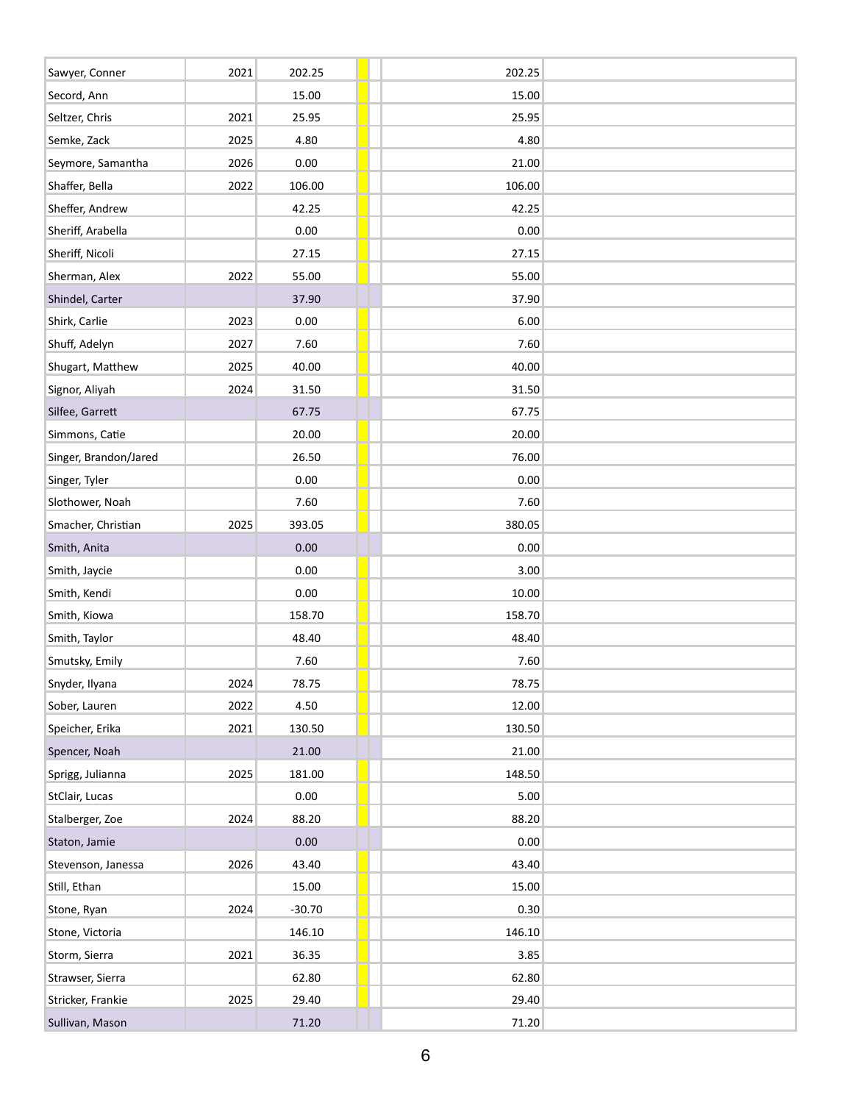| Sawyer, Conner        | 2021 | 202.25   | 202.25 |  |
|-----------------------|------|----------|--------|--|
| Secord, Ann           |      | 15.00    | 15.00  |  |
| Seltzer, Chris        | 2021 | 25.95    | 25.95  |  |
| Semke, Zack           | 2025 | 4.80     | 4.80   |  |
| Seymore, Samantha     | 2026 | 0.00     | 21.00  |  |
| Shaffer, Bella        | 2022 | 106.00   | 106.00 |  |
| Sheffer, Andrew       |      | 42.25    | 42.25  |  |
| Sheriff, Arabella     |      | 0.00     | 0.00   |  |
| Sheriff, Nicoli       |      | 27.15    | 27.15  |  |
| Sherman, Alex         | 2022 | 55.00    | 55.00  |  |
| Shindel, Carter       |      | 37.90    | 37.90  |  |
| Shirk, Carlie         | 2023 | 0.00     | 6.00   |  |
| Shuff, Adelyn         | 2027 | 7.60     | 7.60   |  |
| Shugart, Matthew      | 2025 | 40.00    | 40.00  |  |
| Signor, Aliyah        | 2024 | 31.50    | 31.50  |  |
| Silfee, Garrett       |      | 67.75    | 67.75  |  |
| Simmons, Catie        |      | 20.00    | 20.00  |  |
| Singer, Brandon/Jared |      | 26.50    | 76.00  |  |
| Singer, Tyler         |      | 0.00     | 0.00   |  |
| Slothower, Noah       |      | 7.60     | 7.60   |  |
| Smacher, Christian    | 2025 | 393.05   | 380.05 |  |
| Smith, Anita          |      | 0.00     | 0.00   |  |
| Smith, Jaycie         |      | 0.00     | 3.00   |  |
| Smith, Kendi          |      | 0.00     | 10.00  |  |
| Smith, Kiowa          |      | 158.70   | 158.70 |  |
| Smith, Taylor         |      | 48.40    | 48.40  |  |
| Smutsky, Emily        |      | 7.60     | 7.60   |  |
| Snyder, Ilyana        | 2024 | 78.75    | 78.75  |  |
| Sober, Lauren         | 2022 | 4.50     | 12.00  |  |
| Speicher, Erika       | 2021 | 130.50   | 130.50 |  |
| Spencer, Noah         |      | 21.00    | 21.00  |  |
| Sprigg, Julianna      | 2025 | 181.00   | 148.50 |  |
| StClair, Lucas        |      | 0.00     | 5.00   |  |
| Stalberger, Zoe       | 2024 | 88.20    | 88.20  |  |
| Staton, Jamie         |      | 0.00     | 0.00   |  |
| Stevenson, Janessa    | 2026 | 43.40    | 43.40  |  |
| Still, Ethan          |      | 15.00    | 15.00  |  |
| Stone, Ryan           | 2024 | $-30.70$ | 0.30   |  |
| Stone, Victoria       |      | 146.10   | 146.10 |  |
| Storm, Sierra         | 2021 | 36.35    | 3.85   |  |
| Strawser, Sierra      |      | 62.80    | 62.80  |  |
| Stricker, Frankie     | 2025 | 29.40    | 29.40  |  |
| Sullivan, Mason       |      | 71.20    | 71.20  |  |